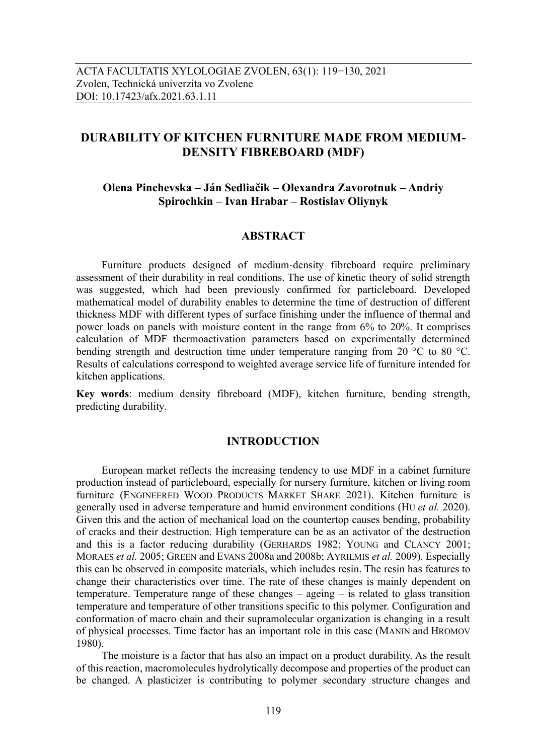# **DURABILITY OF KITCHEN FURNITURE MADE FROM MEDIUM-DENSITY FIBREBOARD (MDF)**

# **Olena Pinchevska – Ján Sedliačik – Olexandra Zavorotnuk – Andriy Spirochkin – Ivan Hrabar – Rostislav Oliynyk**

### **ABSTRACT**

Furniture products designed of medium-density fibreboard require preliminary assessment of their durability in real conditions. The use of kinetic theory of solid strength was suggested, which had been previously confirmed for particleboard. Developed mathematical model of durability enables to determine the time of destruction of different thickness MDF with different types of surface finishing under the influence of thermal and power loads on panels with moisture content in the range from 6% to 20%. It comprises calculation of MDF thermoactivation parameters based on experimentally determined bending strength and destruction time under temperature ranging from 20 °C to 80 °C. Results of calculations correspond to weighted average service life of furniture intended for kitchen applications.

**Key words**: medium density fibreboard (MDF), kitchen furniture, bending strength, predicting durability.

## **INTRODUCTION**

European market reflects the increasing tendency to use MDF in a cabinet furniture production instead of particleboard, especially for nursery furniture, kitchen or living room furniture (ENGINEERED WOOD PRODUCTS MARKET SHARE 2021). Kitchen furniture is generally used in adverse temperature and humid environment conditions (HU *et al.* 2020). Given this and the action of mechanical load on the countertop causes bending, probability of cracks and their destruction. High temperature can be as an activator of the destruction and this is a factor reducing durability (GERHARDS 1982; YOUNG and CLANCY 2001; MORAES *et al.* 2005; GREEN and EVANS 2008a and 2008b; AYRILMIS *et al.* 2009). Especially this can be observed in composite materials, which includes resin. The resin has features to change their characteristics over time. The rate of these changes is mainly dependent on temperature. Temperature range of these changes  $-$  ageing  $-$  is related to glass transition temperature and temperature of other transitions specific to this polymer. Configuration and conformation of macro chain and their supramolecular organization is changing in a result of physical processes. Time factor has an important role in this case (MANIN and HROMOV 1980).

The moisture is a factor that has also an impact on a product durability. As the result of this reaction, macromolecules hydrolytically decompose and properties of the product can be changed. A plasticizer is contributing to polymer secondary structure changes and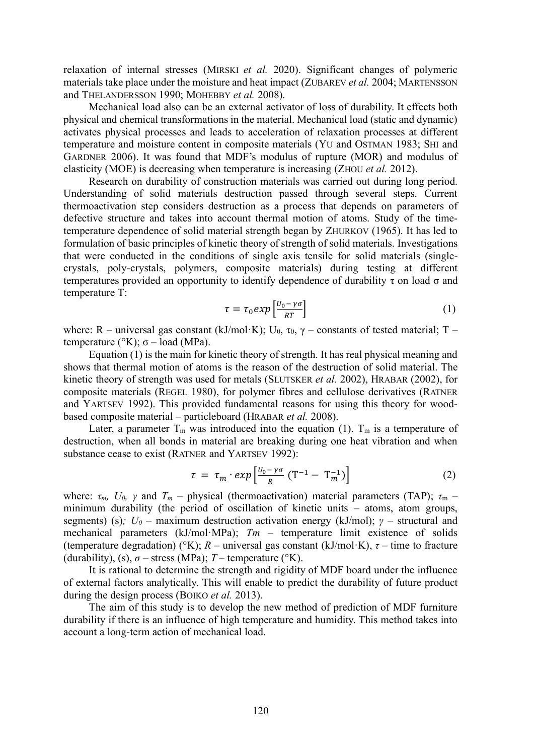relaxation of internal stresses (MIRSKI *et al.* 2020). Significant changes of polymeric materials take place under the moisture and heat impact (ZUBAREV *et al.* 2004; MARTENSSON and THELANDERSSON 1990; MOHEBBY *et al.* 2008).

Mechanical load also can be an external activator of loss of durability. It effects both physical and chemical transformations in the material. Mechanical load (static and dynamic) activates physical processes and leads to acceleration of relaxation processes at different temperature and moisture content in composite materials (YU and OSTMAN 1983; SHI and GARDNER 2006). It was found that MDF's modulus of rupture (MOR) and modulus of elasticity (MOE) is decreasing when temperature is increasing (ZHOU *et al.* 2012).

Research on durability of construction materials was carried out during long period. Understanding of solid materials destruction passed through several steps. Current thermoactivation step considers destruction as a process that depends on parameters of defective structure and takes into account thermal motion of atoms. Study of the timetemperature dependence of solid material strength began by ZHURKOV (1965). It has led to formulation of basic principles of kinetic theory of strength of solid materials. Investigations that were conducted in the conditions of single axis tensile for solid materials (singlecrystals, poly-crystals, polymers, composite materials) during testing at different temperatures provided an opportunity to identify dependence of durability  $\tau$  on load  $\sigma$  and temperature Т:

$$
\tau = \tau_0 \exp\left[\frac{U_0 - \gamma \sigma}{RT}\right] \tag{1}
$$

where: R – universal gas constant (kJ/mol·K);  $U_0$ ,  $\tau_0$ ,  $\gamma$  – constants of tested material; T – temperature (°K); σ – load (MPa).

Equation (1) is the main for kinetic theory of strength. It has real physical meaning and shows that thermal motion of atoms is the reason of the destruction of solid material. The kinetic theory of strength was used for metals (SLUTSKER *et al.* 2002), HRABAR (2002), for composite materials (REGEL 1980), for polymer fibres and cellulose derivatives (RATNER and YARTSEV 1992). This provided fundamental reasons for using this theory for woodbased composite material – particleboard (HRABAR *et al.* 2008).

Later, a parameter  $T_m$  was introduced into the equation (1).  $T_m$  is a temperature of destruction, when all bonds in material are breaking during one heat vibration and when substance cease to exist (RATNER and YARTSEV 1992):

$$
\tau = \tau_m \cdot \exp\left[\frac{U_0 - \gamma \sigma}{R} \left( T^{-1} - T_m^{-1} \right) \right] \tag{2}
$$

where:  $\tau_m$ ,  $U_0$ ,  $\gamma$  and  $T_m$  – physical (thermoactivation) material parameters (TAP);  $\tau_m$  – minimum durability (the period of oscillation of kinetic units – atoms, atom groups, segments) (s)*; U<sup>0</sup>* – maximum destruction activation energy (kJ/mol); *γ* – structural and mechanical parameters (kJ/mol·MPa); *Tm* – temperature limit existence of solids (temperature degradation) (°K);  $R$  – universal gas constant (kJ/mol·K),  $\tau$  – time to fracture (durability), (s),  $\sigma$  – stress (MPa); *T* – temperature (°K).

It is rational to determine the strength and rigidity of MDF board under the influence of external factors analytically. This will enable to predict the durability of future product during the design process (BOIKO *et al.* 2013).

The aim of this study is to develop the new method of prediction of MDF furniture durability if there is an influence of high temperature and humidity. This method takes into account a long-term action of mechanical load.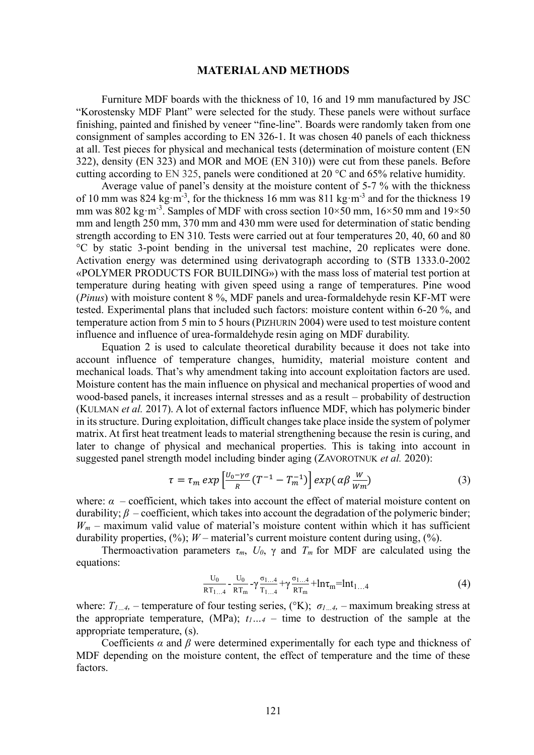#### **MATERIAL AND METHODS**

Furniture MDF boards with the thickness of 10, 16 and 19 mm manufactured by JSC "Korostensky MDF Plant" were selected for the study. These panels were without surface finishing, painted and finished by veneer "fine-line". Boards were randomly taken from one consignment of samples according to EN 326-1. It was chosen 40 panels of each thickness at all. Test pieces for physical and mechanical tests (determination of moisture content (EN 322), density (EN 323) and MOR and MOE (EN 310)) were cut from these panels. Before cutting according to EN 325, panels were conditioned at 20 °C and 65% relative humidity.

Average value of panel's density at the moisture content of 5-7 % with the thickness of 10 mm was 824 kg·m<sup>-3</sup>, for the thickness 16 mm was 811 kg·m<sup>-3</sup> and for the thickness 19 mm was 802 kg·m<sup>-3</sup>. Samples of MDF with cross section  $10\times50$  mm,  $16\times50$  mm and  $19\times50$ mm and length 250 mm, 370 mm and 430 mm were used for determination of static bending strength according to EN 310. Tests were carried out at four temperatures 20, 40, 60 and 80 °С by static 3-point bending in the universal test machine, 20 replicates were done. Activation energy was determined using derivatograph according to (STB 1333.0-2002 «POLYMER PRODUCTS FOR BUILDING») with the mass loss of material test portion at temperature during heating with given speed using a range of temperatures. Pine wood (*Pinus*) with moisture content 8 %, MDF panels and urea-formaldehyde resin KF-MT were tested. Experimental plans that included such factors: moisture content within 6-20 %, and temperature action from 5 min to 5 hours (PIZHURIN 2004) were used to test moisture content influence and influence of urea-formaldehyde resin aging on MDF durability.

Equation 2 is used to calculate theoretical durability because it does not take into account influence of temperature changes, humidity, material moisture content and mechanical loads. That's why amendment taking into account exploitation factors are used. Moisture content has the main influence on physical and mechanical properties of wood and wood-based panels, it increases internal stresses and as a result – probability of destruction (KULMAN *et al.* 2017). A lot of external factors influence MDF, which has polymeric binder in its structure. During exploitation, difficult changestake place inside the system of polymer matrix. At first heat treatment leads to material strengthening because the resin is curing, and later to change of physical and mechanical properties. This is taking into account in suggested panel strength model including binder aging (ZAVOROTNUK *et al.* 2020):

$$
\tau = \tau_m \exp\left[\frac{U_0 - \gamma \sigma}{R} (T^{-1} - T_m^{-1})\right] \exp\left(\alpha \beta \frac{W}{Wm}\right) \tag{3}
$$

where:  $\alpha$  – coefficient, which takes into account the effect of material moisture content on durability; *β –* coefficient, which takes into account the degradation of the polymeric binder;  $W_m$  – maximum valid value of material's moisture content within which it has sufficient durability properties,  $(\%)$ ; *W* – material's current moisture content during using,  $(\%)$ .

Thermoactivation parameters  $\tau_m$ ,  $U_0$ ,  $\gamma$  and  $T_m$  for MDF are calculated using the equations:

$$
\frac{U_0}{RT_{1...4}} - \frac{U_0}{RT_m} - \gamma \frac{\sigma_{1...4}}{T_{1...4}} + \gamma \frac{\sigma_{1...4}}{RT_m} + ln\tau_m = ln t_{1...4}
$$
 (4)

where:  $T_{1...4}$ , – temperature of four testing series, ( $(X)$ ;  $\sigma_{1...4}$ , – maximum breaking stress at the appropriate temperature, (MPa);  $t_1...t_4$  – time to destruction of the sample at the appropriate temperature, (s).

Coefficients  $\alpha$  and  $\beta$  were determined experimentally for each type and thickness of MDF depending on the moisture content, the effect of temperature and the time of these factors.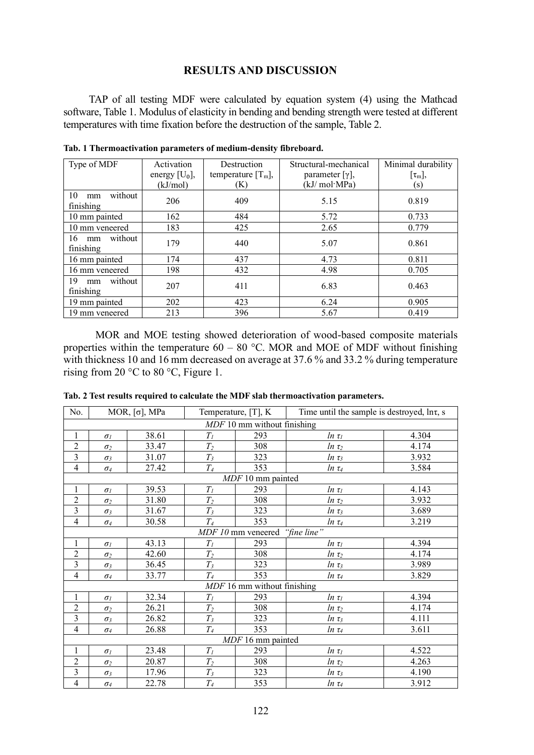## **RESULTS AND DISCUSSION**

TAP of all testing MDF were calculated by equation system (4) using the Mathcad software, Table 1. Modulus of elasticity in bending and bending strength were tested at different temperatures with time fixation before the destruction of the sample, Table 2.

| Type of MDF                      | Activation<br>energy $[U_0]$ ,<br>(kJ/mol) | Destruction<br>temperature $[T_m]$ ,<br>(K) | Structural-mechanical<br>parameter $[\gamma]$ ,<br>(kJ/ mol·MPa) | Minimal durability<br>$[\tau_{m}],$<br>(s) |
|----------------------------------|--------------------------------------------|---------------------------------------------|------------------------------------------------------------------|--------------------------------------------|
|                                  |                                            |                                             |                                                                  |                                            |
| without<br>10<br>mm<br>finishing | 206                                        | 409                                         | 5.15                                                             | 0.819                                      |
| 10 mm painted                    | 162                                        | 484                                         | 5.72                                                             | 0.733                                      |
| 10 mm veneered                   | 183                                        | 425                                         | 2.65                                                             | 0.779                                      |
| without<br>16<br>mm<br>finishing | 179                                        | 440                                         | 5.07                                                             | 0.861                                      |
| 16 mm painted                    | 174                                        | 437                                         | 4.73                                                             | 0.811                                      |
| 16 mm veneered                   | 198                                        | 432                                         | 4.98                                                             | 0.705                                      |
| without<br>19<br>mm<br>finishing | 207                                        | 411                                         | 6.83                                                             | 0.463                                      |
| 19 mm painted                    | 202                                        | 423                                         | 6.24                                                             | 0.905                                      |
| 19 mm veneered                   | 213                                        | 396                                         | 5.67                                                             | 0.419                                      |

**Tab. 1 Thermoactivation parameters of medium-density fibreboard.**

MOR and MOE testing showed deterioration of wood-based composite materials properties within the temperature  $60 - 80$  °C. MOR and MOE of MDF without finishing with thickness 10 and 16 mm decreased on average at 37.6 % and 33.2 % during temperature rising from 20 °С to 80 °С, Figure 1.

| No.                           | MOR, $\lceil \sigma \rceil$ , MPa |       | Temperature, $[T]$ , K |                   | Time until the sample is destroyed, $\ln \tau$ , s |       |  |
|-------------------------------|-----------------------------------|-------|------------------------|-------------------|----------------------------------------------------|-------|--|
| $MDF$ 10 mm without finishing |                                   |       |                        |                   |                                                    |       |  |
| $\mathbf{1}$                  | $\sigma$ <sub>I</sub>             | 38.61 | $T_I$                  | 293               | $ln \tau$                                          | 4.304 |  |
| $\sqrt{2}$                    | $\sigma_2$                        | 33.47 | $T_2$                  | 308               | $ln \tau_2$                                        | 4.174 |  |
| $\overline{\mathbf{3}}$       | $\sigma_3$                        | 31.07 | $T_3$                  | 323               | $ln \tau_3$                                        | 3.932 |  |
| $\overline{\mathbf{4}}$       | $\sigma_4$                        | 27.42 | $T_{4}$                | 353               | $ln \tau_4$                                        | 3.584 |  |
|                               |                                   |       |                        | MDF 10 mm painted |                                                    |       |  |
| $\mathbf{1}$                  | $\sigma$ <sub>I</sub>             | 39.53 | $T_I$                  | 293               | $ln \tau$                                          | 4.143 |  |
| $\sqrt{2}$                    | $\sigma_2$                        | 31.80 | $T_2$                  | 308               | $ln \tau_2$                                        | 3.932 |  |
| $\overline{3}$                | $\sigma_3$                        | 31.67 | $T_3$                  | 323               | $ln \tau_3$                                        | 3.689 |  |
| $\overline{4}$                | $\sigma_4$                        | 30.58 | $T_{4}$                | 353               | $ln \tau_4$                                        | 3.219 |  |
|                               | "fine line"<br>MDF 10 mm veneered |       |                        |                   |                                                    |       |  |
| $\mathbf{1}$                  | $\sigma$ <sub>I</sub>             | 43.13 | $T_I$                  | 293               | $ln \tau_1$                                        | 4.394 |  |
| $\overline{c}$                | $\sigma_2$                        | 42.60 | $T_2$                  | 308               | $ln \tau_2$                                        | 4.174 |  |
| 3                             | $\sigma_3$                        | 36.45 | $T_3$                  | 323               | $ln \tau_3$                                        | 3.989 |  |
| $\overline{4}$                | $\sigma_4$                        | 33.77 | $T_{4}$                | 353               | $ln \tau_4$                                        | 3.829 |  |
| $MDF$ 16 mm without finishing |                                   |       |                        |                   |                                                    |       |  |
| $\mathbf{1}$                  | $\sigma$                          | 32.34 | $T_I$                  | 293               | $ln \tau$                                          | 4.394 |  |
| $\overline{2}$                | $\sigma_2$                        | 26.21 | $T_2$                  | 308               | $ln \tau_2$                                        | 4.174 |  |
| 3                             | $\sigma_3$                        | 26.82 | $T_3$                  | 323               | $ln \tau_3$                                        | 4.111 |  |
| $\overline{4}$                | $\sigma_4$                        | 26.88 | $T_{4}$                | 353               | $ln \tau_4$                                        | 3.611 |  |
| MDF 16 mm painted             |                                   |       |                        |                   |                                                    |       |  |
| $\mathbf{1}$                  | $\sigma$                          | 23.48 | $T_I$                  | 293               | $ln \tau_I$                                        | 4.522 |  |
| $\overline{c}$                | $\sigma_2$                        | 20.87 | $T_2$                  | 308               | $ln \tau_2$                                        | 4.263 |  |
| $\overline{3}$                | $\sigma_3$                        | 17.96 | $T_3$                  | 323               | $ln \tau_3$                                        | 4.190 |  |
| $\overline{4}$                | $\sigma_4$                        | 22.78 | $T_{4}$                | 353               | $ln \tau_4$                                        | 3.912 |  |

**Tab. 2 Test results required to calculate the MDF slab thermoactivation parameters.**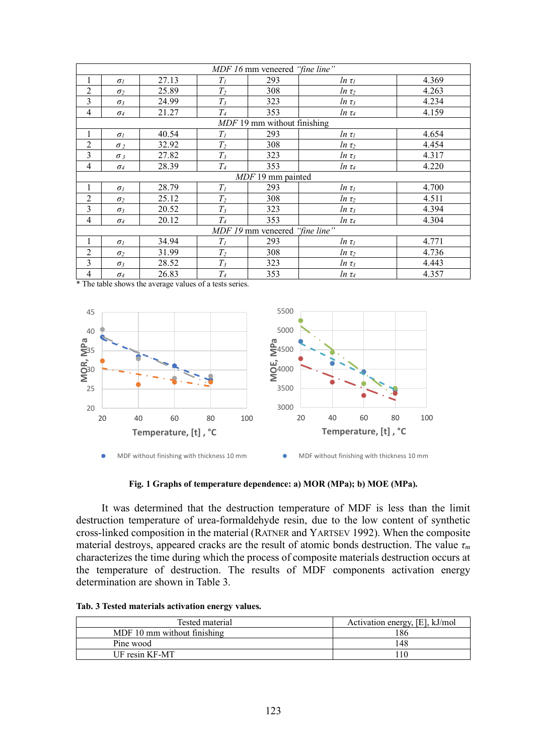| MDF 16 mm veneered "fine line"           |                               |       |                |     |             |       |  |
|------------------------------------------|-------------------------------|-------|----------------|-----|-------------|-------|--|
| 1                                        | $\sigma$                      | 27.13 | $T_I$          | 293 | $ln \tau_I$ | 4.369 |  |
| $\overline{2}$                           | $\sigma_2$                    | 25.89 | $T_2$          | 308 | $ln \tau_2$ | 4.263 |  |
| 3                                        | $\sigma_3$                    | 24.99 | $T_3$          | 323 | $ln \tau_3$ | 4.234 |  |
| $\overline{4}$                           | $\sigma_4$                    | 21.27 | $T_4$          | 353 | $ln \tau_4$ | 4.159 |  |
|                                          | $MDF$ 19 mm without finishing |       |                |     |             |       |  |
| 1                                        | $\sigma$                      | 40.54 | $T_I$          | 293 | $ln \tau_I$ | 4.654 |  |
| $\overline{2}$                           | $\sigma$ <sub>2</sub>         | 32.92 | $T_2$          | 308 | $ln \tau_2$ | 4.454 |  |
| 3                                        | $\sigma_3$                    | 27.82 | $T_3$          | 323 | $ln \tau_3$ | 4.317 |  |
| $\overline{4}$                           | $\sigma_4$                    | 28.39 | $T_{4}$        | 353 | $ln \tau_4$ | 4.220 |  |
| $MDF$ 19 mm painted                      |                               |       |                |     |             |       |  |
| 1                                        | $\sigma$                      | 28.79 | $T_I$          | 293 | $ln \tau$   | 4.700 |  |
| $\overline{2}$                           | $\sigma_2$                    | 25.12 | $T_2$          | 308 | $ln \tau_2$ | 4.511 |  |
| 3                                        | $\sigma_3$                    | 20.52 | $T_3$          | 323 | $ln \tau_3$ | 4.394 |  |
| 4                                        | $\sigma_4$                    | 20.12 | T <sub>4</sub> | 353 | $ln \tau_4$ | 4.304 |  |
| "fine line"<br><i>MDF 19</i> mm veneered |                               |       |                |     |             |       |  |
| 1                                        | $\sigma$                      | 34.94 | $T_I$          | 293 | $ln \tau_I$ | 4.771 |  |
| $\overline{2}$                           | $\sigma_2$                    | 31.99 | $T_2$          | 308 | $ln \tau_2$ | 4.736 |  |
| 3                                        | $\sigma_3$                    | 28.52 | $T_3$          | 323 | $ln \tau_3$ | 4.443 |  |
| 4                                        | $\sigma_4$                    | 26.83 | T <sub>4</sub> | 353 | $ln \tau_4$ | 4.357 |  |

\* The table shows the average values of a tests series.



**Fig. 1 Graphs of temperature dependence: a) MOR (MPa); b) MOE (MPa).**

It was determined that the destruction temperature of MDF is less than the limit destruction temperature of urea-formaldehyde resin, due to the low content of synthetic cross-linked composition in the material (RATNER and YARTSEV 1992). When the composite material destroys, appeared cracks are the result of atomic bonds destruction. The value *τ<sup>m</sup>* characterizes the time during which the process of composite materials destruction occurs at the temperature of destruction. The results of MDF components activation energy determination are shown in Table 3.

|  |  | Tab. 3 Tested materials activation energy values. |  |
|--|--|---------------------------------------------------|--|
|  |  |                                                   |  |

| Tested material             | Activation energy, [E], kJ/mol |
|-----------------------------|--------------------------------|
| MDF 10 mm without finishing | 86                             |
| Pine wood                   | 148                            |
| UF resin KF-MT              |                                |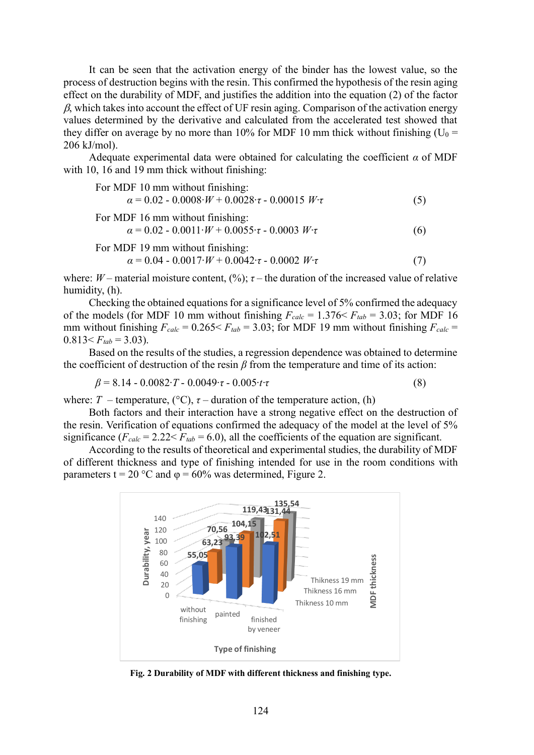It can be seen that the activation energy of the binder has the lowest value, so the process of destruction begins with the resin. This confirmed the hypothesis of the resin aging effect on the durability of MDF, and justifies the addition into the equation (2) of the factor  $\beta$ , which takes into account the effect of UF resin aging. Comparison of the activation energy values determined by the derivative and calculated from the accelerated test showed that they differ on average by no more than 10% for MDF 10 mm thick without finishing ( $U_0$  = 206 kJ/mol).

Adequate experimental data were obtained for calculating the coefficient  $\alpha$  of MDF with 10, 16 and 19 mm thick without finishing:

| For MDF 10 mm without finishing:                                                                               |     |
|----------------------------------------------------------------------------------------------------------------|-----|
| $\alpha = 0.02 - 0.0008 \cdot W + 0.0028 \cdot \tau - 0.00015 W \cdot \tau$                                    | (5) |
| For MDF 16 mm without finishing:<br>$\alpha = 0.02 - 0.0011 \cdot W + 0.0055 \cdot \tau - 0.0003 W \cdot \tau$ | (6) |
| For MDF 19 mm without finishing:<br>$\alpha = 0.04 - 0.0017 \cdot W + 0.0042 \cdot \tau - 0.0002 W \cdot \tau$ |     |

where: *W* – material moisture content,  $(\%)$ ;  $\tau$  – the duration of the increased value of relative humidity, (h).

Checking the obtained equations for a significance level of 5% confirmed the adequacy of the models (for MDF 10 mm without finishing  $F_{calc} = 1.376 \le F_{tab} = 3.03$ ; for MDF 16 mm without finishing  $F_{calc} = 0.265 \le F_{tab} = 3.03$ ; for MDF 19 mm without finishing  $F_{calc} =$  $0.813 \leq F_{tab} = 3.03$ ).

Based on the results of the studies, a regression dependence was obtained to determine the coefficient of destruction of the resin  $\beta$  from the temperature and time of its action:

$$
\beta = 8.14 - 0.0082 \cdot T - 0.0049 \cdot \tau - 0.005 \cdot t \cdot \tau \tag{8}
$$

where: *T* – temperature,  $({}^{\circ}C)$ , *τ* – duration of the temperature action, (h)

Both factors and their interaction have a strong negative effect on the destruction of the resin. Verification of equations confirmed the adequacy of the model at the level of 5% significance  $(F_{calc} = 2.22 \le F_{tab} = 6.0)$ , all the coefficients of the equation are significant.

According to the results of theoretical and experimental studies, the durability of MDF of different thickness and type of finishing intended for use in the room conditions with parameters t = 20 °C and  $\varphi$  = 60% was determined, Figure 2.



**Fig. 2 Durability of MDF with different thickness and finishing type.**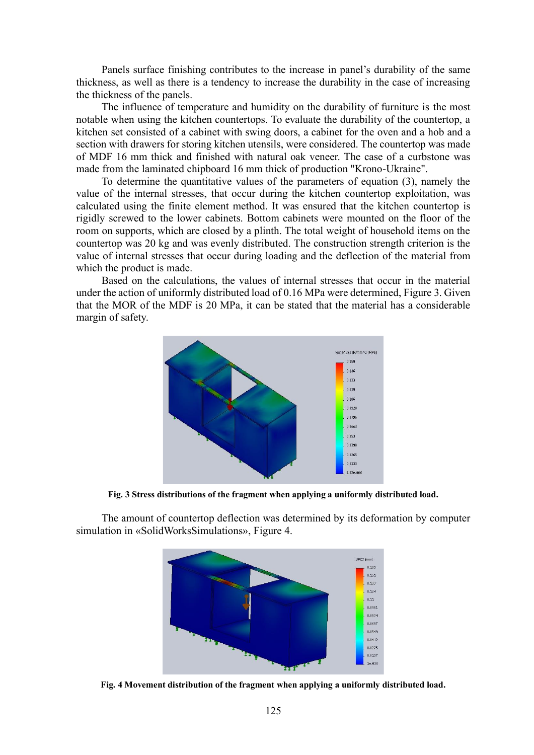Panels surface finishing contributes to the increase in panel's durability of the same thickness, as well as there is a tendency to increase the durability in the case of increasing the thickness of the panels.

The influence of temperature and humidity on the durability of furniture is the most notable when using the kitchen countertops. To evaluate the durability of the countertop, a kitchen set consisted of a cabinet with swing doors, a cabinet for the oven and a hob and a section with drawers for storing kitchen utensils, were considered. The countertop was made of MDF 16 mm thick and finished with natural oak veneer. The case of a curbstone was made from the laminated chipboard 16 mm thick of production "Krono-Ukraine".

To determine the quantitative values of the parameters of equation (3), namely the value of the internal stresses, that occur during the kitchen countertop exploitation, was calculated using the finite element method. It was ensured that the kitchen countertop is rigidly screwed to the lower cabinets. Bottom cabinets were mounted on the floor of the room on supports, which are closed by a plinth. The total weight of household items on the countertop was 20 kg and was evenly distributed. The construction strength criterion is the value of internal stresses that occur during loading and the deflection of the material from which the product is made.

Based on the calculations, the values of internal stresses that occur in the material under the action of uniformly distributed load of 0.16 MPa were determined, Figure 3. Given that the MOR of the MDF is 20 MPa, it can be stated that the material has a considerable margin of safety.



**Fig. 3 Stress distributions of the fragment when applying a uniformly distributed load.**

The amount of countertop deflection was determined by its deformation by computer simulation in «SolidWorksSimulations», Figure 4.



**Fig. 4 Movement distribution of the fragment when applying a uniformly distributed load.**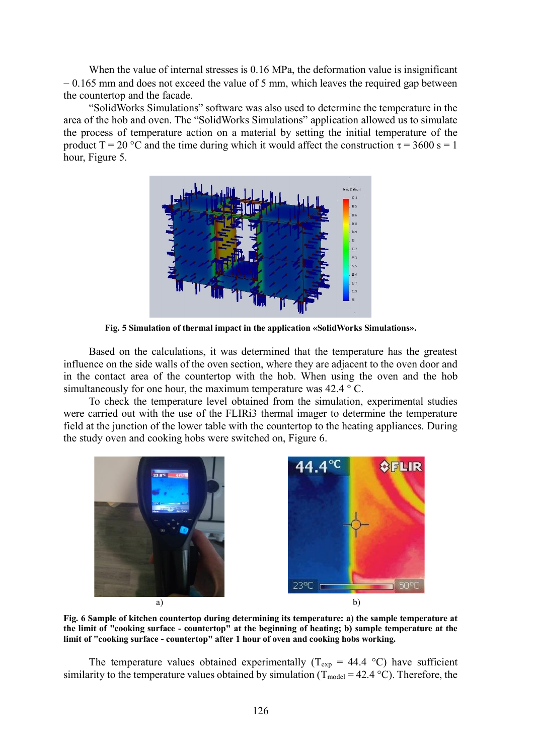When the value of internal stresses is 0.16 MPa, the deformation value is insignificant − 0.165 mm and does not exceed the value of 5 mm, which leaves the required gap between the countertop and the facade.

"SolidWorks Simulations" software was also used to determine the temperature in the area of the hob and oven. The "SolidWorks Simulations" application allowed us to simulate the process of temperature action on a material by setting the initial temperature of the product  $T = 20$  °C and the time during which it would affect the construction  $\tau = 3600$  s = 1 hour, Figure 5.



**Fig. 5 Simulation of thermal impact in the application «SolidWorks Simulations».**

Based on the calculations, it was determined that the temperature has the greatest influence on the side walls of the oven section, where they are adjacent to the oven door and in the contact area of the countertop with the hob. When using the oven and the hob simultaneously for one hour, the maximum temperature was  $42.4 \degree C$ .

To check the temperature level obtained from the simulation, experimental studies were carried out with the use of the FLIRi3 thermal imager to determine the temperature field at the junction of the lower table with the countertop to the heating appliances. During the study oven and cooking hobs were switched on, Figure 6.



**Fig. 6 Sample of kitchen countertop during determining its temperature: a) the sample temperature at the limit of "cooking surface - countertop" at the beginning of heating; b) sample temperature at the limit of "cooking surface - countertop" after 1 hour of oven and cooking hobs working.**

The temperature values obtained experimentally ( $T_{exp}$  = 44.4 °C) have sufficient similarity to the temperature values obtained by simulation ( $T_{model} = 42.4 \degree C$ ). Therefore, the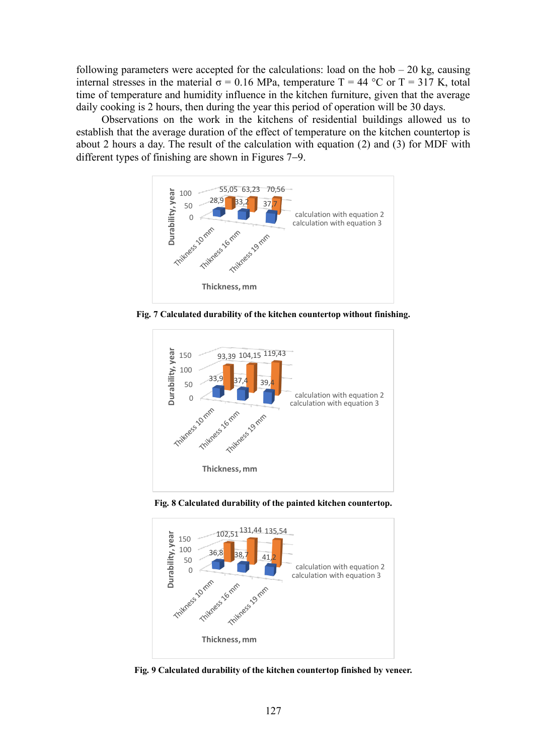following parameters were accepted for the calculations: load on the hob  $-20$  kg, causing internal stresses in the material  $\sigma = 0.16$  MPa, temperature T = 44 °C or T = 317 K, total time of temperature and humidity influence in the kitchen furniture, given that the average daily cooking is 2 hours, then during the year this period of operation will be 30 days.

Observations on the work in the kitchens of residential buildings allowed us to establish that the average duration of the effect of temperature on the kitchen countertop is about 2 hours a day. The result of the calculation with equation (2) and (3) for MDF with different types of finishing are shown in Figures 7−9.



**Fig. 7 Calculated durability of the kitchen countertop without finishing.**



**Fig. 8 Calculated durability of the painted kitchen countertop.**



**Fig. 9 Calculated durability of the kitchen countertop finished by veneer.**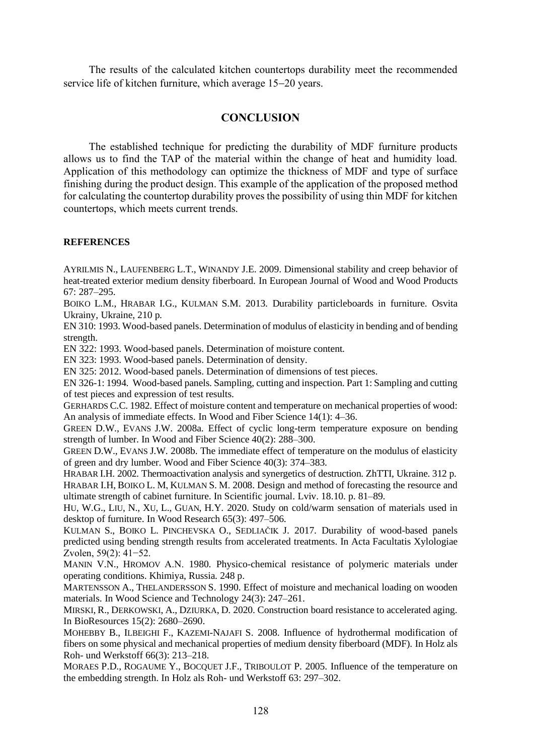The results of the calculated kitchen countertops durability meet the recommended service life of kitchen furniture, which average 15−20 years.

# **CONCLUSION**

The established technique for predicting the durability of MDF furniture products allows us to find the TAP of the material within the change of heat and humidity load. Application of this methodology can optimize the thickness of MDF and type of surface finishing during the product design. This example of the application of the proposed method for calculating the countertop durability proves the possibility of using thin MDF for kitchen countertops, which meets current trends.

### **REFERENCES**

AYRILMIS N., LAUFENBERG L.T., WINANDY J.E. 2009. Dimensional stability and creep behavior of heat-treated exterior medium density fiberboard. In European Journal of Wood and Wood Products 67: 287–295.

BOIKO L.M., HRABAR I.G., KULMAN S.M. 2013. Durability particleboards in furniture. Osvita Ukrainy, Ukraine, 210 p.

EN 310: 1993. Wood-based panels. Determination of modulus of elasticity in bending and of bending strength.

EN 322: 1993. Wood-based panels. Determination of moisture content.

EN 323: 1993. Wood-based panels. Determination of density.

EN 325: 2012. Wood-based panels. Determination of dimensions of test pieces.

EN 326-1: 1994. Wood-based panels. Sampling, cutting and inspection. Part 1: Sampling and cutting of test pieces and expression of test results.

GERHARDS C.C. 1982. Effect of moisture content and temperature on mechanical properties of wood: An analysis of immediate effects. In Wood and Fiber Science 14(1): 4–36.

GREEN D.W., EVANS J.W. 2008a. Effect of cyclic long-term temperature exposure on bending strength of lumber. In Wood and Fiber Science 40(2): 288–300.

GREEN D.W., EVANS J.W. 2008b. The immediate effect of temperature on the modulus of elasticity of green and dry lumber. Wood and Fiber Science 40(3): 374–383.

HRABAR I.H. 2002. Thermoactivation analysis and synergetics of destruction. ZhTTI, Ukraine. 312 p. HRABAR I.H, BOIKO L. M, KULMAN S. M. 2008. Design and method of forecasting the resource and ultimate strength of cabinet furniture. In Scientific journal. Lviv. 18.10. p. 81–89.

HU, W.G., LIU, N., XU, L., GUAN, H.Y. 2020. Study on cold/warm sensation of materials used in desktop of furniture. In Wood Research 65(3): 497–506.

KULMAN S., BOIKO L. PINCHEVSKA O., SEDLIAČIK J. 2017. Durability of wood-based panels predicted using bending strength results from accelerated treatments. In Acta Facultatis Xylologiae Zvolen, 59(2): 41−52.

MANIN V.N., HROMOV А.N. 1980. Physico-chemical resistance of polymeric materials under operating conditions. Khimiya, Russia. 248 p.

MARTENSSON A., THELANDERSSON S. 1990. Effect of moisture and mechanical loading on wooden materials. In Wood Science and Technology 24(3): 247–261.

MIRSKI, R., DERKOWSKI, A., DZIURKA, D. 2020. Construction board resistance to accelerated aging. In BioResources 15(2): 2680–2690.

MOHEBBY B., ILBEIGHI F., KAZEMI-NAJAFI S. 2008. Influence of hydrothermal modification of fibers on some physical and mechanical properties of medium density fiberboard (MDF). In Holz als Roh- und Werkstoff 66(3): 213–218.

MORAES P.D., ROGAUME Y., BOCQUET J.F., TRIBOULOT P. 2005. Influence of the temperature on the embedding strength. In Holz als Roh- und Werkstoff 63: 297–302.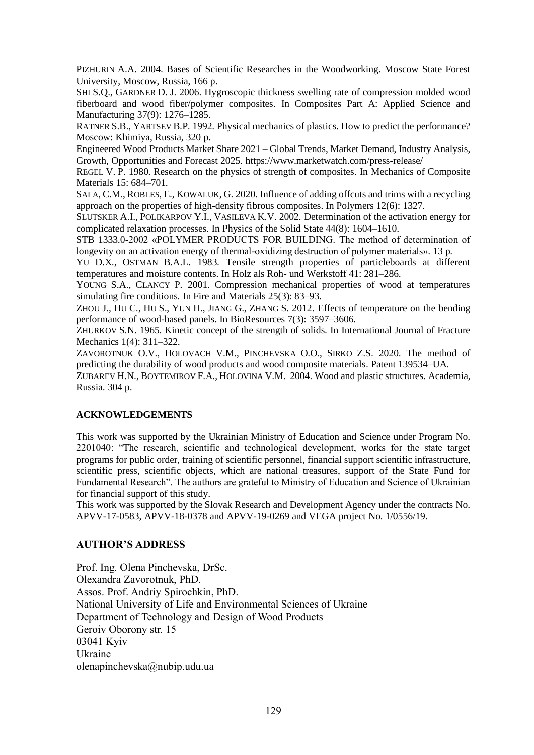PIZHURIN A.A. 2004. Bases of Scientific Researches in the Woodworking. Moscow State Forest University, Moscow, Russia, 166 p.

SHI S.Q., GARDNER D. J. 2006. Hygroscopic thickness swelling rate of compression molded wood fiberboard and wood fiber/polymer composites. In [Composites Part A: Applied Science and](https://www.sciencedirect.com/science/journal/1359835X)  [Manufacturing](https://www.sciencedirect.com/science/journal/1359835X) 37(9): 1276–1285.

RATNER S.B., YARTSEV B.P. 1992. Physical mechanics of plastics. How to predict the performance? Moscow: Khimiya, Russia, 320 p.

Engineered Wood Products Market Share 2021 – Global Trends, Market Demand, Industry Analysis, Growth, Opportunities and Forecast 2025. https://www.marketwatch.com/press-release/

REGEL V. P. 1980. Research on the physics of strength of composites. In Mechanics of Composite Materials 15: 684–701.

SALA, [C.M.](http://apps.webofknowledge.com.sldk01.tuzvo.sk:8080/OutboundService.do?SID=C4miCPYKutNg8oTHxym&mode=rrcAuthorRecordService&action=go&product=WOS&lang=en_US&daisIds=13347016), R[OBLES](http://apps.webofknowledge.com.sldk01.tuzvo.sk:8080/OutboundService.do?SID=C4miCPYKutNg8oTHxym&mode=rrcAuthorRecordService&action=go&product=WOS&lang=en_US&daisIds=40565679), E., K[OWALUK](http://apps.webofknowledge.com.sldk01.tuzvo.sk:8080/OutboundService.do?SID=C4miCPYKutNg8oTHxym&mode=rrcAuthorRecordService&action=go&product=WOS&lang=en_US&daisIds=1749252), G. 2020. Influence of adding offcuts and trims with a recycling approach on the properties of high-density fibrous composites. In Polymers 12(6): 1327.

SLUTSKER A.I., POLIKARPOV Y.I., VASILEVA K.V. 2002. Determination of the activation energy for complicated relaxation processes. In Physics of the Solid State 44(8): 1604–1610.

STB 1333.0-2002 «POLYMER PRODUCTS FOR BUILDING. The method of determination of longevity on an activation energy of thermal-oxidizing destruction of polymer materials». 13 p.

YU D.X., OSTMAN B.A.L. 1983. Tensile strength properties of particleboards at different temperatures and moisture contents. In Holz als Roh- und Werkstoff 41: 281–286.

YOUNG S.A., CLANCY P. 2001. Compression mechanical properties of wood at temperatures simulating fire conditions. In Fire and Materials 25(3): 83–93.

ZHOU J., HU C., HU S., YUN H., JIANG G., ZHANG S. 2012. Effects of temperature on the bending performance of wood-based panels. In BioResources 7(3): 3597–3606.

ZHURKOV S.N. 1965. Kinetic concept of the strength of solids. In International Journal of Fracture Mechanics 1(4): 311–322.

ZAVOROTNUK O.V., HOLOVACH V.M., PINCHEVSKA O.O., SIRKO Z.S. 2020. The method of predicting the durability of wood products and wood composite materials. Patent 139534–UA.

ZUBAREV H.N., BOYTEMIROV F.A., HOLOVINA V.M. 2004. Wood and plastic structures. Academia, Russia. 304 p.

### **ACKNOWLEDGEMENTS**

This work was supported by the Ukrainian Ministry of Education and Science under Program No. 2201040: "The research, scientific and technological development, works for the state target programs for public order, training of scientific personnel, financial support scientific infrastructure, scientific press, scientific objects, which are national treasures, support of the State Fund for Fundamental Research". The authors are grateful to Ministry of Education and Science of Ukrainian for financial support of this study.

This work was supported by the Slovak Research and Development Agency under the contracts No. APVV-17-0583, APVV-18-0378 and APVV-19-0269 and VEGA project No. 1/0556/19.

## **AUTHOR'S ADDRESS**

Prof. Ing. Olena Pinchevska, DrSc. Olexandra Zavorotnuk, PhD. Assos. Prof. Andriy Spirochkin, PhD. National University of Life and Environmental Sciences of Ukraine Department of Technology and Design of Wood Products Geroiv Oborony str. 15 03041 Kyiv Ukraine [olenapinchevska@nubip.udu.ua](mailto:olenapinchevska@nubip.udu.ua)